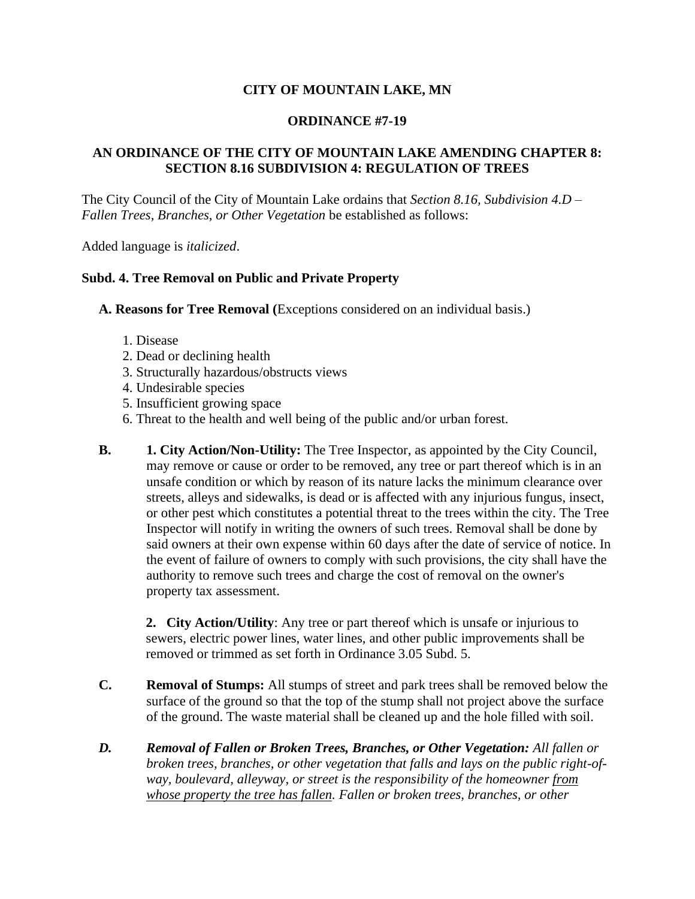## **CITY OF MOUNTAIN LAKE, MN**

## **ORDINANCE #7-19**

## **AN ORDINANCE OF THE CITY OF MOUNTAIN LAKE AMENDING CHAPTER 8: SECTION 8.16 SUBDIVISION 4: REGULATION OF TREES**

The City Council of the City of Mountain Lake ordains that *Section 8.16, Subdivision 4.D – Fallen Trees, Branches, or Other Vegetation* be established as follows:

Added language is *italicized*.

## **Subd. 4. Tree Removal on Public and Private Property**

**A. Reasons for Tree Removal (**Exceptions considered on an individual basis.)

- 1. Disease
- 2. Dead or declining health
- 3. Structurally hazardous/obstructs views
- 4. Undesirable species
- 5. Insufficient growing space
- 6. Threat to the health and well being of the public and/or urban forest.
- **B. 1. City Action/Non-Utility:** The Tree Inspector, as appointed by the City Council, may remove or cause or order to be removed, any tree or part thereof which is in an unsafe condition or which by reason of its nature lacks the minimum clearance over streets, alleys and sidewalks, is dead or is affected with any injurious fungus, insect, or other pest which constitutes a potential threat to the trees within the city. The Tree Inspector will notify in writing the owners of such trees. Removal shall be done by said owners at their own expense within 60 days after the date of service of notice. In the event of failure of owners to comply with such provisions, the city shall have the authority to remove such trees and charge the cost of removal on the owner's property tax assessment.

**2. City Action/Utility**: Any tree or part thereof which is unsafe or injurious to sewers, electric power lines, water lines, and other public improvements shall be removed or trimmed as set forth in Ordinance 3.05 Subd. 5.

- **C. Removal of Stumps:** All stumps of street and park trees shall be removed below the surface of the ground so that the top of the stump shall not project above the surface of the ground. The waste material shall be cleaned up and the hole filled with soil.
- *D. Removal of Fallen or Broken Trees, Branches, or Other Vegetation: All fallen or broken trees, branches, or other vegetation that falls and lays on the public right-ofway, boulevard, alleyway, or street is the responsibility of the homeowner from whose property the tree has fallen. Fallen or broken trees, branches, or other*